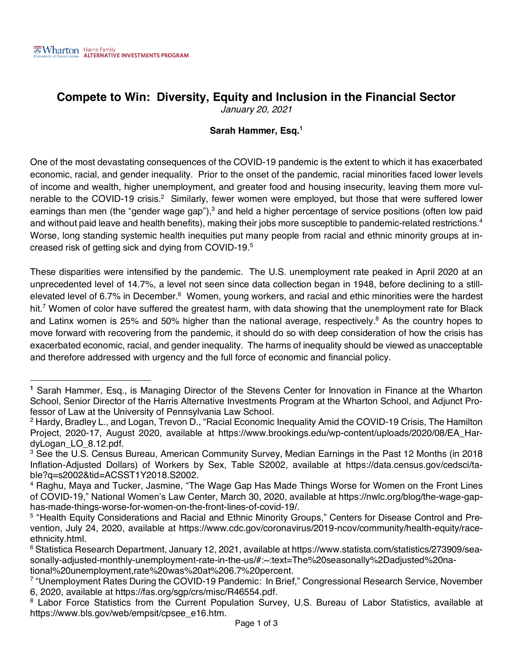## **Compete to Win: Diversity, Equity and Inclusion in the Financial Sector**

*January 20, 2021*

## **Sarah Hammer, Esq.1**

One of the most devastating consequences of the COVID-19 pandemic is the extent to which it has exacerbated economic, racial, and gender inequality. Prior to the onset of the pandemic, racial minorities faced lower levels of income and wealth, higher unemployment, and greater food and housing insecurity, leaving them more vulnerable to the COVID-19 crisis.<sup>2</sup> Similarly, fewer women were employed, but those that were suffered lower earnings than men (the "gender wage gap"),<sup>3</sup> and held a higher percentage of service positions (often low paid and without paid leave and health benefits), making their jobs more susceptible to pandemic-related restrictions.<sup>4</sup> Worse, long standing systemic health inequities put many people from racial and ethnic minority groups at increased risk of getting sick and dying from COVID-19.5

These disparities were intensified by the pandemic. The U.S. unemployment rate peaked in April 2020 at an unprecedented level of 14.7%, a level not seen since data collection began in 1948, before declining to a stillelevated level of 6.7% in December.<sup>6</sup> Women, young workers, and racial and ethic minorities were the hardest hit.<sup>7</sup> Women of color have suffered the greatest harm, with data showing that the unemployment rate for Black and Latinx women is 25% and 50% higher than the national average, respectively.<sup>8</sup> As the country hopes to move forward with recovering from the pandemic, it should do so with deep consideration of how the crisis has exacerbated economic, racial, and gender inequality. The harms of inequality should be viewed as unacceptable and therefore addressed with urgency and the full force of economic and financial policy.

**<sup>1</sup>** Sarah Hammer, Esq., is Managing Director of the Stevens Center for Innovation in Finance at the Wharton School, Senior Director of the Harris Alternative Investments Program at the Wharton School, and Adjunct Professor of Law at the University of Pennsylvania Law School.<br><sup>2</sup> Hardy, Bradley L., and Logan, Trevon D., "Racial Economic Inequality Amid the COVID-19 Crisis, The Hamilton

Project, 2020-17, August 2020, available at https://www.brookings.edu/wp-content/uploads/2020/08/EA\_HardyLogan\_LO\_8.12.pdf.

<sup>&</sup>lt;sup>3</sup> See the U.S. Census Bureau, American Community Survey, Median Earnings in the Past 12 Months (in 2018 Inflation-Adjusted Dollars) of Workers by Sex, Table S2002, available at https://data.census.gov/cedsci/table?q=s2002&tid=ACSST1Y2018.S2002.

<sup>4</sup> Raghu, Maya and Tucker, Jasmine, "The Wage Gap Has Made Things Worse for Women on the Front Lines of COVID-19," National Women's Law Center, March 30, 2020, available at https://nwlc.org/blog/the-wage-gaphas-made-things-worse-for-women-on-the-front-lines-of-covid-19/.

<sup>5</sup> "Health Equity Considerations and Racial and Ethnic Minority Groups," Centers for Disease Control and Prevention, July 24, 2020, available at https://www.cdc.gov/coronavirus/2019-ncov/community/health-equity/raceethnicity.html.

<sup>6</sup> Statistica Research Department, January 12, 2021, available at https://www.statista.com/statistics/273909/seasonally-adjusted-monthly-unemployment-rate-in-the-us/#:~:text=The%20seasonally%2Dadjusted%20national%20unemployment,rate%20was%20at%206.7%20percent.

<sup>&</sup>lt;sup>7</sup> "Unemployment Rates During the COVID-19 Pandemic: In Brief," Congressional Research Service, November 6, 2020, available at https://fas.org/sgp/crs/misc/R46554.pdf.

<sup>&</sup>lt;sup>8</sup> Labor Force Statistics from the Current Population Survey, U.S. Bureau of Labor Statistics, available at https://www.bls.gov/web/empsit/cpsee\_e16.htm.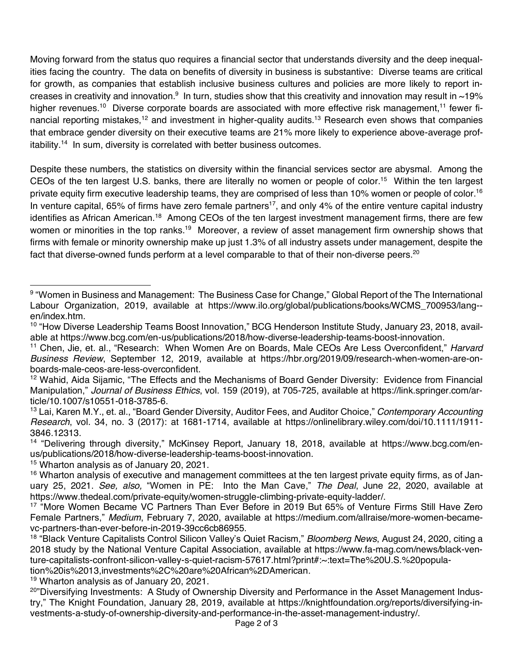Moving forward from the status quo requires a financial sector that understands diversity and the deep inequalities facing the country. The data on benefits of diversity in business is substantive: Diverse teams are critical for growth, as companies that establish inclusive business cultures and policies are more likely to report increases in creativity and innovation. $^9\,$  In turn, studies show that this creativity and innovation may result in  $\sim$ 19% higher revenues.<sup>10</sup> Diverse corporate boards are associated with more effective risk management,<sup>11</sup> fewer financial reporting mistakes,<sup>12</sup> and investment in higher-quality audits.<sup>13</sup> Research even shows that companies that embrace gender diversity on their executive teams are 21% more likely to experience above-average profitability.<sup>14</sup> In sum, diversity is correlated with better business outcomes.

Despite these numbers, the statistics on diversity within the financial services sector are abysmal. Among the CEOs of the ten largest U.S. banks, there are literally no women or people of color.15 Within the ten largest private equity firm executive leadership teams, they are comprised of less than 10% women or people of color.<sup>16</sup> In venture capital, 65% of firms have zero female partners<sup>17</sup>, and only 4% of the entire venture capital industry identifies as African American.<sup>18</sup> Among CEOs of the ten largest investment management firms, there are few women or minorities in the top ranks.<sup>19</sup> Moreover, a review of asset management firm ownership shows that firms with female or minority ownership make up just 1.3% of all industry assets under management, despite the fact that diverse-owned funds perform at a level comparable to that of their non-diverse peers.<sup>20</sup>

<sup>15</sup> Wharton analysis as of January 20, 2021.

<sup>19</sup> Wharton analysis as of January 20, 2021.

<sup>9 &</sup>quot;Women in Business and Management: The Business Case for Change," Global Report of the The International Labour Organization, 2019, available at https://www.ilo.org/global/publications/books/WCMS\_700953/lang- en/index.htm.

<sup>&</sup>lt;sup>10</sup> "How Diverse Leadership Teams Boost Innovation," BCG Henderson Institute Study, January 23, 2018, available at https://www.bcg.com/en-us/publications/2018/how-diverse-leadership-teams-boost-innovation.

<sup>11</sup> Chen, Jie, et. al., "Research: When Women Are on Boards, Male CEOs Are Less Overconfident," *Harvard Business Review*, September 12, 2019, available at https://hbr.org/2019/09/research-when-women-are-onboards-male-ceos-are-less-overconfident.

<sup>&</sup>lt;sup>12</sup> Wahid, Aida Sijamic, "The Effects and the Mechanisms of Board Gender Diversity: Evidence from Financial Manipulation," *Journal of Business Ethics*, vol. 159 (2019), at 705-725, available at https://link.springer.com/article/10.1007/s10551-018-3785-6.

<sup>13</sup> Lai, Karen M.Y., et. al., "Board Gender Diversity, Auditor Fees, and Auditor Choice," *Contemporary Accounting Research*, vol. 34, no. 3 (2017): at 1681-1714, available at https://onlinelibrary.wiley.com/doi/10.1111/1911- 3846.12313.

<sup>&</sup>lt;sup>14</sup> "Delivering through diversity," McKinsey Report, January 18, 2018, available at https://www.bcg.com/enus/publications/2018/how-diverse-leadership-teams-boost-innovation.

<sup>&</sup>lt;sup>16</sup> Wharton analysis of executive and management committees at the ten largest private equity firms, as of January 25, 2021. *See, also,* "Women in PE: Into the Man Cave," *The Deal*, June 22, 2020, available at https://www.thedeal.com/private-equity/women-struggle-climbing-private-equity-ladder/.

<sup>&</sup>lt;sup>17</sup> "More Women Became VC Partners Than Ever Before in 2019 But 65% of Venture Firms Still Have Zero Female Partners," *Medium*, February 7, 2020, available at https://medium.com/allraise/more-women-becamevc-partners-than-ever-before-in-2019-39cc6cb86955.

<sup>18</sup> "Black Venture Capitalists Control Silicon Valley's Quiet Racism," *Bloomberg News*, August 24, 2020, citing a 2018 study by the National Venture Capital Association, available at https://www.fa-mag.com/news/black-venture-capitalists-confront-silicon-valley-s-quiet-racism-57617.html?print#:~:text=The%20U.S.%20population%20is%2013,investments%2C%20are%20African%2DAmerican.

<sup>&</sup>lt;sup>20</sup>"Diversifying Investments: A Study of Ownership Diversity and Performance in the Asset Management Industry," The Knight Foundation, January 28, 2019, available at https://knightfoundation.org/reports/diversifying-investments-a-study-of-ownership-diversity-and-performance-in-the-asset-management-industry/.